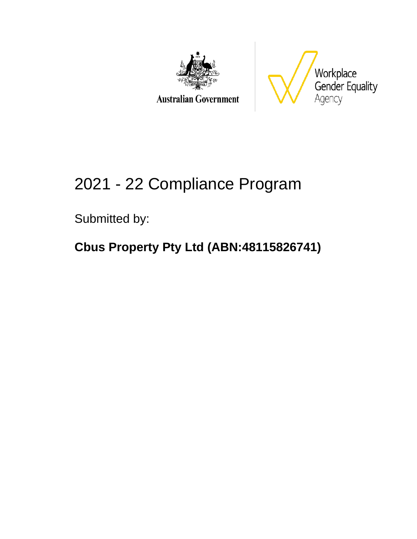



# 2021 - 22 Compliance Program

Submitted by:

### **Cbus Property Pty Ltd (ABN:48115826741)**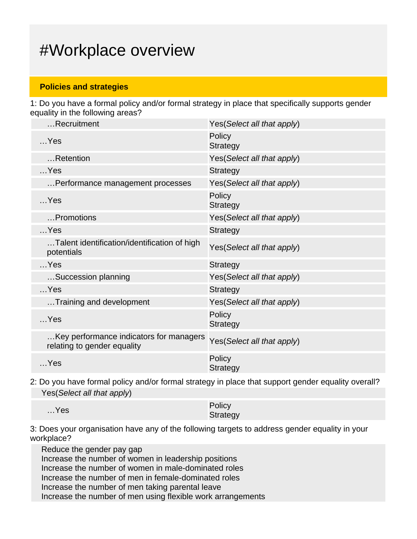### #Workplace overview

#### **Policies and strategies**

1: Do you have a formal policy and/or formal strategy in place that specifically supports gender equality in the following areas?

| Recruitment                                                            | Yes(Select all that apply) |
|------------------------------------------------------------------------|----------------------------|
| $$ Yes                                                                 | Policy<br><b>Strategy</b>  |
| Retention                                                              | Yes(Select all that apply) |
| $$ Yes                                                                 | <b>Strategy</b>            |
| Performance management processes                                       | Yes(Select all that apply) |
| $$ Yes                                                                 | Policy<br><b>Strategy</b>  |
| Promotions                                                             | Yes(Select all that apply) |
| $$ Yes                                                                 | <b>Strategy</b>            |
| Talent identification/identification of high<br>potentials             | Yes(Select all that apply) |
| $$ Yes                                                                 | <b>Strategy</b>            |
| Succession planning                                                    | Yes(Select all that apply) |
| $$ Yes                                                                 | <b>Strategy</b>            |
| Training and development                                               | Yes(Select all that apply) |
| $$ Yes                                                                 | Policy<br><b>Strategy</b>  |
| Key performance indicators for managers<br>relating to gender equality | Yes(Select all that apply) |
| $$ Yes                                                                 | Policy<br><b>Strategy</b>  |
|                                                                        |                            |

2: Do you have formal policy and/or formal strategy in place that support gender equality overall? Yes(Select all that apply)

| $$ Yes | Policy   |
|--------|----------|
|        | Strategy |

3: Does your organisation have any of the following targets to address gender equality in your workplace?

Reduce the gender pay gap Increase the number of women in leadership positions Increase the number of women in male-dominated roles Increase the number of men in female-dominated roles Increase the number of men taking parental leave Increase the number of men using flexible work arrangements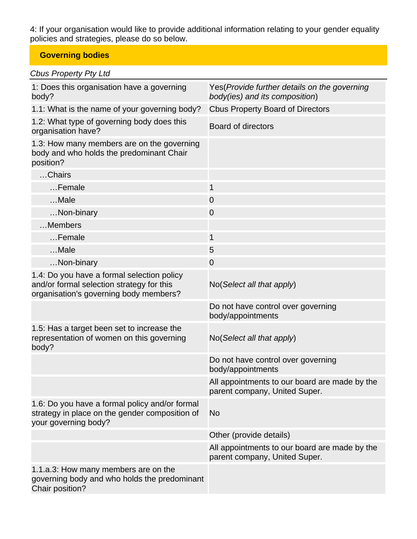4: If your organisation would like to provide additional information relating to your gender equality policies and strategies, please do so below.

#### **Governing bodies**

| 1: Does this organisation have a governing<br>body?                                                                               | Yes (Provide further details on the governing<br>body(ies) and its composition) |
|-----------------------------------------------------------------------------------------------------------------------------------|---------------------------------------------------------------------------------|
| 1.1: What is the name of your governing body?                                                                                     | <b>Cbus Property Board of Directors</b>                                         |
| 1.2: What type of governing body does this<br>organisation have?                                                                  | <b>Board of directors</b>                                                       |
| 1.3: How many members are on the governing<br>body and who holds the predominant Chair<br>position?                               |                                                                                 |
| Chairs                                                                                                                            |                                                                                 |
| Female                                                                                                                            | $\mathbf 1$                                                                     |
| Male                                                                                                                              | $\overline{0}$                                                                  |
| Non-binary                                                                                                                        | $\overline{0}$                                                                  |
| Members                                                                                                                           |                                                                                 |
| Female                                                                                                                            | $\mathbf{1}$                                                                    |
| Male                                                                                                                              | 5                                                                               |
| Non-binary                                                                                                                        | $\overline{0}$                                                                  |
| 1.4: Do you have a formal selection policy<br>and/or formal selection strategy for this<br>organisation's governing body members? | No(Select all that apply)                                                       |
|                                                                                                                                   | Do not have control over governing<br>body/appointments                         |
| 1.5: Has a target been set to increase the<br>representation of women on this governing<br>body?                                  | No(Select all that apply)                                                       |
|                                                                                                                                   | Do not have control over governing<br>body/appointments                         |
|                                                                                                                                   | All appointments to our board are made by the<br>parent company, United Super.  |
| 1.6: Do you have a formal policy and/or formal<br>strategy in place on the gender composition of<br>your governing body?          | No                                                                              |
|                                                                                                                                   | Other (provide details)                                                         |
|                                                                                                                                   | All appointments to our board are made by the<br>parent company, United Super.  |
| 1.1.a.3: How many members are on the<br>governing body and who holds the predominant<br>Chair position?                           |                                                                                 |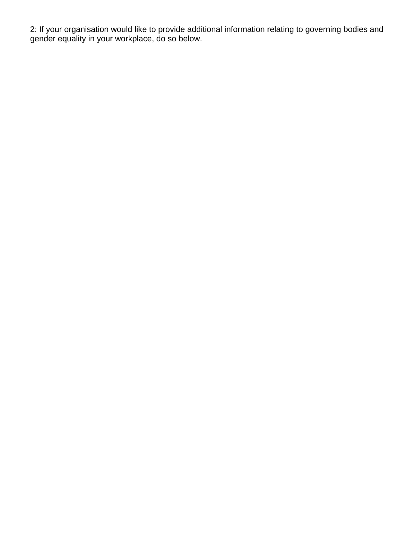2: If your organisation would like to provide additional information relating to governing bodies and gender equality in your workplace, do so below.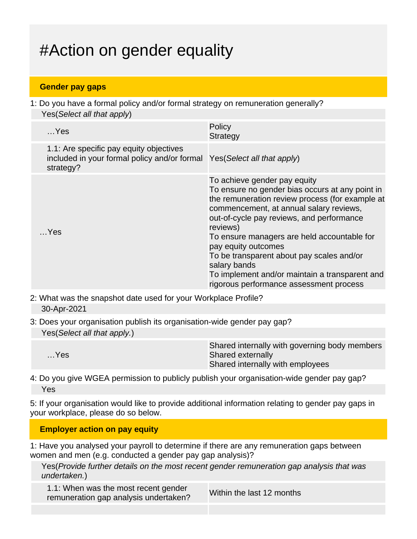## #Action on gender equality

#### **Gender pay gaps**

1: Do you have a formal policy and/or formal strategy on remuneration generally? Yes(Select all that apply)

| $$ Yes                                                                                               | Policy<br><b>Strategy</b>                                                                                                                                                                                                                                                                                                                                                                                                                                              |
|------------------------------------------------------------------------------------------------------|------------------------------------------------------------------------------------------------------------------------------------------------------------------------------------------------------------------------------------------------------------------------------------------------------------------------------------------------------------------------------------------------------------------------------------------------------------------------|
| 1.1: Are specific pay equity objectives<br>included in your formal policy and/or formal<br>strategy? | Yes (Select all that apply)                                                                                                                                                                                                                                                                                                                                                                                                                                            |
| …Yes                                                                                                 | To achieve gender pay equity<br>To ensure no gender bias occurs at any point in<br>the remuneration review process (for example at<br>commencement, at annual salary reviews,<br>out-of-cycle pay reviews, and performance<br>reviews)<br>To ensure managers are held accountable for<br>pay equity outcomes<br>To be transparent about pay scales and/or<br>salary bands<br>To implement and/or maintain a transparent and<br>rigorous performance assessment process |

- 2: What was the snapshot date used for your Workplace Profile? 30-Apr-2021
- 3: Does your organisation publish its organisation-wide gender pay gap? Yes(Select all that apply.)

| Shared internally with employees | $$ Yes | Shared internally with governing body members<br>Shared externally |
|----------------------------------|--------|--------------------------------------------------------------------|
|----------------------------------|--------|--------------------------------------------------------------------|

4: Do you give WGEA permission to publicly publish your organisation-wide gender pay gap? Yes

5: If your organisation would like to provide additional information relating to gender pay gaps in your workplace, please do so below.

#### **Employer action on pay equity**

1: Have you analysed your payroll to determine if there are any remuneration gaps between women and men (e.g. conducted a gender pay gap analysis)?

Yes(Provide further details on the most recent gender remuneration gap analysis that was undertaken.)

1.1: When was the most recent gender T.T. When was the most recent genuer<br>remuneration gap analysis undertaken?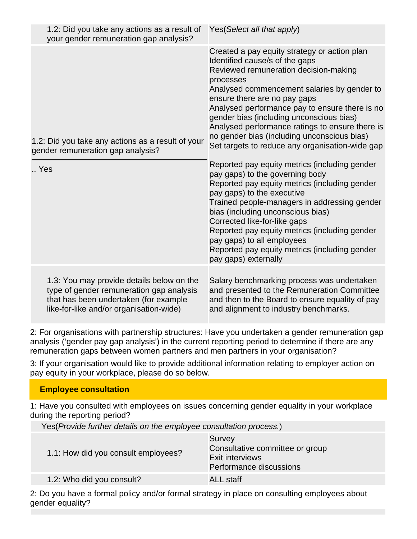| 1.2: Did you take any actions as a result of<br>your gender remuneration gap analysis?                                                                                    | Yes(Select all that apply)                                                                                                                                                                                                                                                                                                                                                                                                                                             |
|---------------------------------------------------------------------------------------------------------------------------------------------------------------------------|------------------------------------------------------------------------------------------------------------------------------------------------------------------------------------------------------------------------------------------------------------------------------------------------------------------------------------------------------------------------------------------------------------------------------------------------------------------------|
| 1.2: Did you take any actions as a result of your<br>gender remuneration gap analysis?                                                                                    | Created a pay equity strategy or action plan<br>Identified cause/s of the gaps<br>Reviewed remuneration decision-making<br>processes<br>Analysed commencement salaries by gender to<br>ensure there are no pay gaps<br>Analysed performance pay to ensure there is no<br>gender bias (including unconscious bias)<br>Analysed performance ratings to ensure there is<br>no gender bias (including unconscious bias)<br>Set targets to reduce any organisation-wide gap |
| Yes                                                                                                                                                                       | Reported pay equity metrics (including gender<br>pay gaps) to the governing body<br>Reported pay equity metrics (including gender<br>pay gaps) to the executive<br>Trained people-managers in addressing gender<br>bias (including unconscious bias)<br>Corrected like-for-like gaps<br>Reported pay equity metrics (including gender<br>pay gaps) to all employees<br>Reported pay equity metrics (including gender<br>pay gaps) externally                           |
| 1.3: You may provide details below on the<br>type of gender remuneration gap analysis<br>that has been undertaken (for example<br>like-for-like and/or organisation-wide) | Salary benchmarking process was undertaken<br>and presented to the Remuneration Committee<br>and then to the Board to ensure equality of pay<br>and alignment to industry benchmarks.                                                                                                                                                                                                                                                                                  |

2: For organisations with partnership structures: Have you undertaken a gender remuneration gap analysis ('gender pay gap analysis') in the current reporting period to determine if there are any remuneration gaps between women partners and men partners in your organisation?

3: If your organisation would like to provide additional information relating to employer action on pay equity in your workplace, please do so below.

#### **Employee consultation**

1: Have you consulted with employees on issues concerning gender equality in your workplace during the reporting period?

Yes(Provide further details on the employee consultation process.)

| 1.1: How did you consult employees? | Survey<br>Consultative committee or group<br><b>Exit interviews</b><br>Performance discussions |
|-------------------------------------|------------------------------------------------------------------------------------------------|
| 1.2: Who did you consult?           | <b>ALL staff</b>                                                                               |

2: Do you have a formal policy and/or formal strategy in place on consulting employees about gender equality?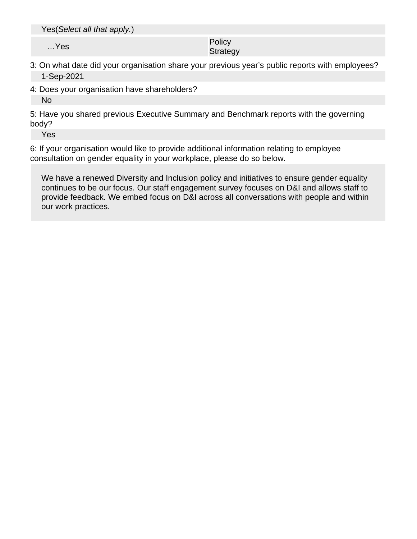Yes(Select all that apply.)

…Yes Policy Policy Product in the Policy Policy Product in the Policy Product in the Policy Product in the Policy Product in the Policy Product in the Policy Product in the Policy Product in the Policy Product in the Polic **Strategy** 

#### 3: On what date did your organisation share your previous year's public reports with employees? 1-Sep-2021

4: Does your organisation have shareholders?

No

5: Have you shared previous Executive Summary and Benchmark reports with the governing body?

Yes

6: If your organisation would like to provide additional information relating to employee consultation on gender equality in your workplace, please do so below.

We have a renewed Diversity and Inclusion policy and initiatives to ensure gender equality continues to be our focus. Our staff engagement survey focuses on D&I and allows staff to provide feedback. We embed focus on D&I across all conversations with people and within our work practices.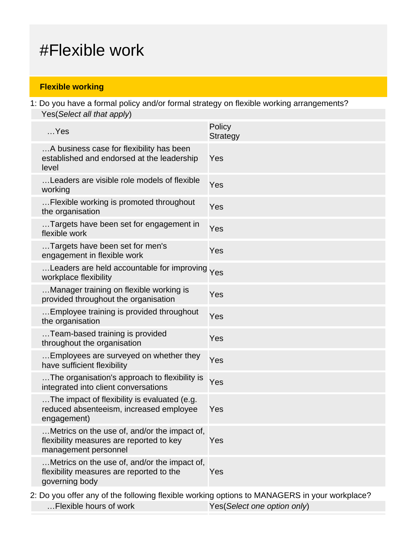### #Flexible work

#### **Flexible working**

1: Do you have a formal policy and/or formal strategy on flexible working arrangements? Yes(Select all that apply)

| $$ Yes                                                                                                           | Policy<br>Strategy |
|------------------------------------------------------------------------------------------------------------------|--------------------|
| A business case for flexibility has been<br>established and endorsed at the leadership<br>level                  | Yes                |
| Leaders are visible role models of flexible<br>working                                                           | Yes                |
| Flexible working is promoted throughout<br>the organisation                                                      | Yes                |
| Targets have been set for engagement in<br>flexible work                                                         | Yes                |
| Targets have been set for men's<br>engagement in flexible work                                                   | Yes                |
| Leaders are held accountable for improving Yes<br>workplace flexibility                                          |                    |
| Manager training on flexible working is<br>provided throughout the organisation                                  | Yes                |
| Employee training is provided throughout<br>the organisation                                                     | Yes                |
| Team-based training is provided<br>throughout the organisation                                                   | Yes                |
| Employees are surveyed on whether they<br>have sufficient flexibility                                            | Yes                |
| The organisation's approach to flexibility is<br>integrated into client conversations                            | Yes                |
| The impact of flexibility is evaluated (e.g.<br>reduced absenteeism, increased employee<br>engagement)           | Yes                |
| Metrics on the use of, and/or the impact of,<br>flexibility measures are reported to key<br>management personnel | Yes                |
| Metrics on the use of, and/or the impact of,<br>flexibility measures are reported to the<br>governing body       | Yes                |
|                                                                                                                  |                    |

2: Do you offer any of the following flexible working options to MANAGERS in your workplace? ... Flexible hours of work Yes(Select one option only)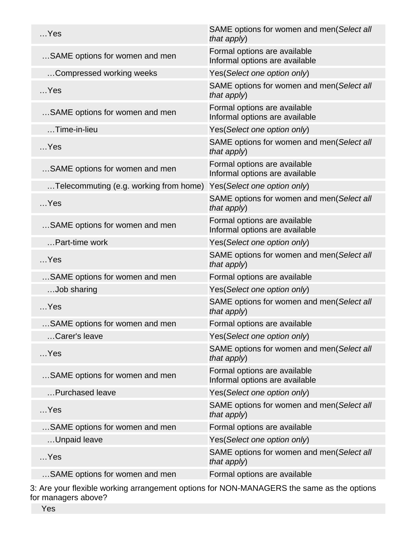| $$ Yes                                 | SAME options for women and men(Select all<br>that apply)       |
|----------------------------------------|----------------------------------------------------------------|
| SAME options for women and men         | Formal options are available<br>Informal options are available |
| Compressed working weeks               | Yes(Select one option only)                                    |
| $$ Yes                                 | SAME options for women and men(Select all<br>that apply)       |
| SAME options for women and men         | Formal options are available<br>Informal options are available |
| $$ Time-in-lieu                        | Yes(Select one option only)                                    |
| $$ Yes                                 | SAME options for women and men(Select all<br>that apply)       |
| SAME options for women and men         | Formal options are available<br>Informal options are available |
| Telecommuting (e.g. working from home) | Yes(Select one option only)                                    |
| $$ Yes                                 | SAME options for women and men(Select all<br>that apply)       |
| SAME options for women and men         | Formal options are available<br>Informal options are available |
| Part-time work                         | Yes(Select one option only)                                    |
| $$ Yes                                 | SAME options for women and men(Select all<br>that apply)       |
| SAME options for women and men         | Formal options are available                                   |
| Job sharing                            | Yes(Select one option only)                                    |
| $$ Yes                                 | SAME options for women and men(Select all<br>that apply)       |
| SAME options for women and men         | Formal options are available                                   |
| Carer's leave                          | Yes(Select one option only)                                    |
| $$ Yes                                 | SAME options for women and men(Select all<br>that apply)       |
| SAME options for women and men         | Formal options are available<br>Informal options are available |
| Purchased leave                        | Yes(Select one option only)                                    |
| $$ Yes                                 | SAME options for women and men(Select all<br>that apply)       |
| SAME options for women and men         | Formal options are available                                   |
| Unpaid leave                           | Yes(Select one option only)                                    |
| $$ Yes                                 | SAME options for women and men(Select all<br>that apply)       |
| SAME options for women and men         | Formal options are available                                   |
|                                        |                                                                |

3: Are your flexible working arrangement options for NON-MANAGERS the same as the options for managers above?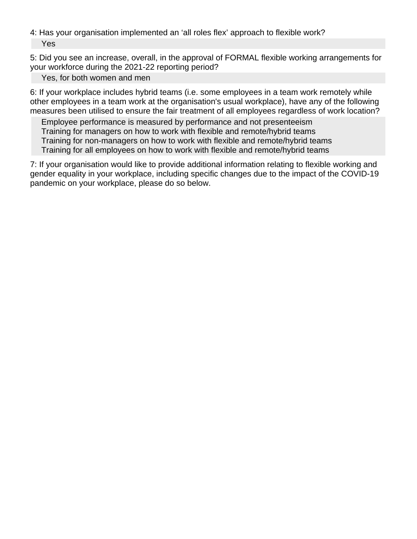4: Has your organisation implemented an 'all roles flex' approach to flexible work? Yes

5: Did you see an increase, overall, in the approval of FORMAL flexible working arrangements for your workforce during the 2021-22 reporting period?

Yes, for both women and men

6: If your workplace includes hybrid teams (i.e. some employees in a team work remotely while other employees in a team work at the organisation's usual workplace), have any of the following measures been utilised to ensure the fair treatment of all employees regardless of work location?

Employee performance is measured by performance and not presenteeism Training for managers on how to work with flexible and remote/hybrid teams Training for non-managers on how to work with flexible and remote/hybrid teams

Training for all employees on how to work with flexible and remote/hybrid teams

7: If your organisation would like to provide additional information relating to flexible working and gender equality in your workplace, including specific changes due to the impact of the COVID-19 pandemic on your workplace, please do so below.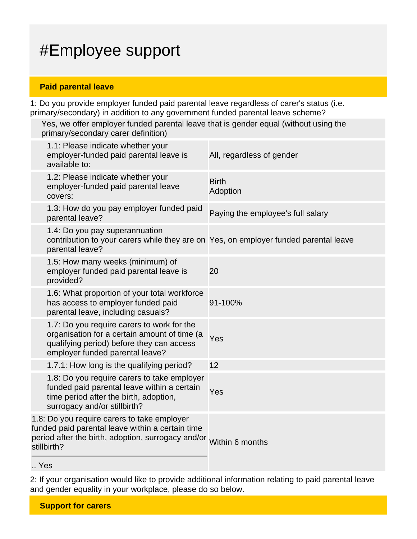## #Employee support

#### **Paid parental leave**

1: Do you provide employer funded paid parental leave regardless of carer's status (i.e. primary/secondary) in addition to any government funded parental leave scheme?

Yes, we offer employer funded parental leave that is gender equal (without using the primary/secondary carer definition)

| 1.1: Please indicate whether your<br>employer-funded paid parental leave is<br>available to:                                                                                         | All, regardless of gender         |
|--------------------------------------------------------------------------------------------------------------------------------------------------------------------------------------|-----------------------------------|
| 1.2: Please indicate whether your<br>employer-funded paid parental leave<br>covers:                                                                                                  | <b>Birth</b><br>Adoption          |
| 1.3: How do you pay employer funded paid<br>parental leave?                                                                                                                          | Paying the employee's full salary |
| 1.4: Do you pay superannuation<br>contribution to your carers while they are on Yes, on employer funded parental leave<br>parental leave?                                            |                                   |
| 1.5: How many weeks (minimum) of<br>employer funded paid parental leave is<br>provided?                                                                                              | 20                                |
| 1.6: What proportion of your total workforce<br>has access to employer funded paid<br>parental leave, including casuals?                                                             | 91-100%                           |
| 1.7: Do you require carers to work for the<br>organisation for a certain amount of time (a<br>qualifying period) before they can access<br>employer funded parental leave?           | Yes                               |
| 1.7.1: How long is the qualifying period?                                                                                                                                            | 12                                |
| 1.8: Do you require carers to take employer<br>funded paid parental leave within a certain<br>time period after the birth, adoption,<br>surrogacy and/or stillbirth?                 | Yes                               |
| 1.8: Do you require carers to take employer<br>funded paid parental leave within a certain time<br>period after the birth, adoption, surrogacy and/or Within 6 months<br>stillbirth? |                                   |
|                                                                                                                                                                                      |                                   |

.. Yes

2: If your organisation would like to provide additional information relating to paid parental leave and gender equality in your workplace, please do so below.

**Support for carers**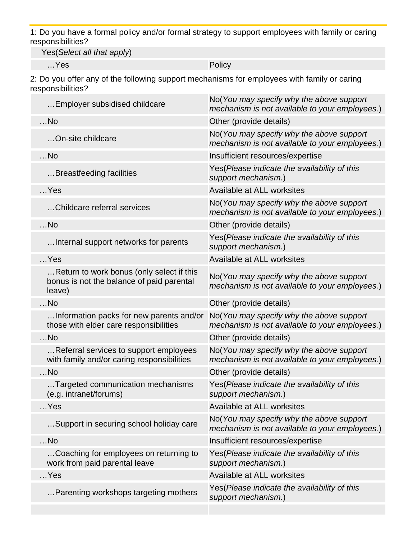1: Do you have a formal policy and/or formal strategy to support employees with family or caring responsibilities?

Yes(Select all that apply)

…Yes Policy

2: Do you offer any of the following support mechanisms for employees with family or caring responsibilities?

| Employer subsidised childcare                                                                    | No(You may specify why the above support<br>mechanism is not available to your employees.) |
|--------------------------------------------------------------------------------------------------|--------------------------------------------------------------------------------------------|
| $$ No                                                                                            | Other (provide details)                                                                    |
| On-site childcare                                                                                | No(You may specify why the above support<br>mechanism is not available to your employees.) |
| $$ No                                                                                            | Insufficient resources/expertise                                                           |
| Breastfeeding facilities                                                                         | Yes (Please indicate the availability of this<br>support mechanism.)                       |
| $$ Yes                                                                                           | Available at ALL worksites                                                                 |
| Childcare referral services                                                                      | No(You may specify why the above support<br>mechanism is not available to your employees.) |
| $$ No                                                                                            | Other (provide details)                                                                    |
| Internal support networks for parents                                                            | Yes(Please indicate the availability of this<br>support mechanism.)                        |
| $$ Yes                                                                                           | Available at ALL worksites                                                                 |
| Return to work bonus (only select if this<br>bonus is not the balance of paid parental<br>leave) | No(You may specify why the above support<br>mechanism is not available to your employees.) |
| $$ No                                                                                            | Other (provide details)                                                                    |
| Information packs for new parents and/or<br>those with elder care responsibilities               | No(You may specify why the above support<br>mechanism is not available to your employees.) |
| $$ No                                                                                            | Other (provide details)                                                                    |
| Referral services to support employees<br>with family and/or caring responsibilities             | No(You may specify why the above support<br>mechanism is not available to your employees.) |
| $$ No                                                                                            | Other (provide details)                                                                    |
| Targeted communication mechanisms<br>(e.g. intranet/forums)                                      | Yes(Please indicate the availability of this<br>support mechanism.)                        |
| $$ Yes                                                                                           | Available at ALL worksites                                                                 |
| Support in securing school holiday care                                                          | No(You may specify why the above support<br>mechanism is not available to your employees.) |
| $$ No                                                                                            | Insufficient resources/expertise                                                           |
| Coaching for employees on returning to<br>work from paid parental leave                          | Yes(Please indicate the availability of this<br>support mechanism.)                        |
| $$ Yes                                                                                           | Available at ALL worksites                                                                 |
| Parenting workshops targeting mothers                                                            | Yes (Please indicate the availability of this<br>support mechanism.)                       |
|                                                                                                  |                                                                                            |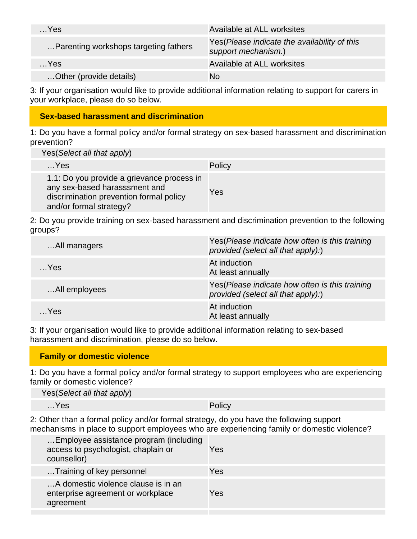| $$ Yes                                | Available at ALL worksites                                           |
|---------------------------------------|----------------------------------------------------------------------|
| Parenting workshops targeting fathers | Yes (Please indicate the availability of this<br>support mechanism.) |
| $$ Yes                                | Available at ALL worksites                                           |
| Other (provide details)               | No                                                                   |

3: If your organisation would like to provide additional information relating to support for carers in your workplace, please do so below.

#### **Sex-based harassment and discrimination**

1: Do you have a formal policy and/or formal strategy on sex-based harassment and discrimination prevention?

Yes(Select all that apply)

| $$ Yes                                                                                                                                            | Policy |
|---------------------------------------------------------------------------------------------------------------------------------------------------|--------|
| 1.1: Do you provide a grievance process in<br>any sex-based harasssment and<br>discrimination prevention formal policy<br>and/or formal strategy? | Yes    |

2: Do you provide training on sex-based harassment and discrimination prevention to the following groups?

| All managers  | Yes (Please indicate how often is this training<br>provided (select all that apply):) |
|---------------|---------------------------------------------------------------------------------------|
| $$ Yes        | At induction<br>At least annually                                                     |
| All employees | Yes (Please indicate how often is this training<br>provided (select all that apply):) |
| $$ Yes        | At induction<br>At least annually                                                     |

3: If your organisation would like to provide additional information relating to sex-based harassment and discrimination, please do so below.

1: Do you have a formal policy and/or formal strategy to support employees who are experiencing family or domestic violence?

Yes(Select all that apply)

…Yes Policy

2: Other than a formal policy and/or formal strategy, do you have the following support mechanisms in place to support employees who are experiencing family or domestic violence?

| Employee assistance program (including<br>access to psychologist, chaplain or<br>counsellor) | Yes |
|----------------------------------------------------------------------------------------------|-----|
| Training of key personnel                                                                    | Yes |
| A domestic violence clause is in an<br>enterprise agreement or workplace<br>agreement        | Yes |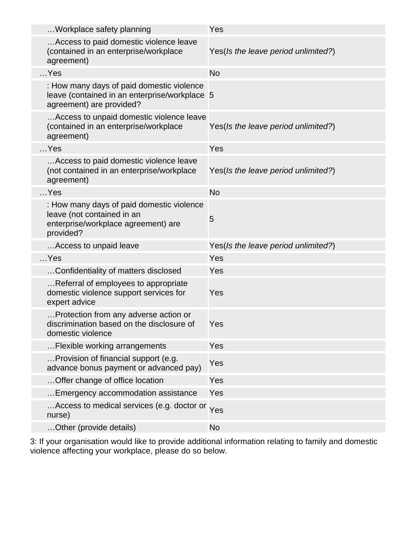| Workplace safety planning                                                                                                   | Yes                                 |
|-----------------------------------------------------------------------------------------------------------------------------|-------------------------------------|
| Access to paid domestic violence leave<br>(contained in an enterprise/workplace<br>agreement)                               | Yes(Is the leave period unlimited?) |
| $$ Yes                                                                                                                      | <b>No</b>                           |
| : How many days of paid domestic violence<br>leave (contained in an enterprise/workplace 5<br>agreement) are provided?      |                                     |
| Access to unpaid domestic violence leave<br>(contained in an enterprise/workplace<br>agreement)                             | Yes(Is the leave period unlimited?) |
| $$ Yes                                                                                                                      | Yes                                 |
| Access to paid domestic violence leave<br>(not contained in an enterprise/workplace<br>agreement)                           | Yes(Is the leave period unlimited?) |
| $$ Yes                                                                                                                      | <b>No</b>                           |
| : How many days of paid domestic violence<br>leave (not contained in an<br>enterprise/workplace agreement) are<br>provided? | 5                                   |
| Access to unpaid leave                                                                                                      | Yes(Is the leave period unlimited?) |
| $$ Yes                                                                                                                      | Yes                                 |
| Confidentiality of matters disclosed                                                                                        | Yes                                 |
| Referral of employees to appropriate<br>domestic violence support services for<br>expert advice                             | Yes                                 |
| Protection from any adverse action or<br>discrimination based on the disclosure of<br>domestic violence                     | Yes                                 |
| Flexible working arrangements                                                                                               | Yes                                 |
| Provision of financial support (e.g.<br>advance bonus payment or advanced pay)                                              | Yes                                 |
| Offer change of office location                                                                                             | Yes                                 |
| Emergency accommodation assistance                                                                                          | Yes                                 |
| Access to medical services (e.g. doctor or Yes<br>nurse)                                                                    |                                     |
| Other (provide details)                                                                                                     | <b>No</b>                           |

3: If your organisation would like to provide additional information relating to family and domestic violence affecting your workplace, please do so below.